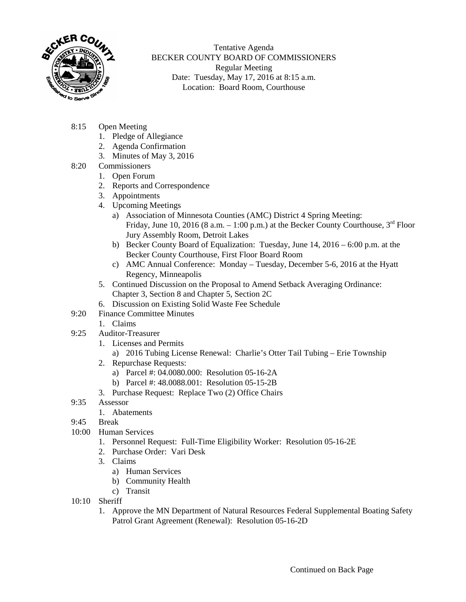

Tentative Agenda BECKER COUNTY BOARD OF COMMISSIONERS Regular Meeting Date: Tuesday, May 17, 2016 at 8:15 a.m. Location: Board Room, Courthouse

- 8:15 Open Meeting
	- 1. Pledge of Allegiance
	- 2. Agenda Confirmation
	- 3. Minutes of May 3, 2016
- 8:20 Commissioners
	- 1. Open Forum
	- 2. Reports and Correspondence
	- 3. Appointments
	- 4. Upcoming Meetings
		- a) Association of Minnesota Counties (AMC) District 4 Spring Meeting: Friday, June 10, 2016 (8 a.m.  $-1:00$  p.m.) at the Becker County Courthouse,  $3<sup>rd</sup>$  Floor Jury Assembly Room, Detroit Lakes
		- b) Becker County Board of Equalization: Tuesday, June 14, 2016 6:00 p.m. at the Becker County Courthouse, First Floor Board Room
		- c) AMC Annual Conference: Monday Tuesday, December 5-6, 2016 at the Hyatt Regency, Minneapolis
	- 5. Continued Discussion on the Proposal to Amend Setback Averaging Ordinance: Chapter 3, Section 8 and Chapter 5, Section 2C
	- 6. Discussion on Existing Solid Waste Fee Schedule
- 9:20 Finance Committee Minutes
	- 1. Claims
- 9:25 Auditor-Treasurer
	- 1. Licenses and Permits
		- a) 2016 Tubing License Renewal: Charlie's Otter Tail Tubing Erie Township
	- 2. Repurchase Requests:
		- a) Parcel #: 04.0080.000: Resolution 05-16-2A
		- b) Parcel #: 48.0088.001: Resolution 05-15-2B
	- 3. Purchase Request: Replace Two (2) Office Chairs
- 9:35 Assessor
	- 1. Abatements
- 9:45 Break
- 10:00 Human Services
	- 1. Personnel Request: Full-Time Eligibility Worker: Resolution 05-16-2E
	- 2. Purchase Order: Vari Desk
	- 3. Claims
		- a) Human Services
		- b) Community Health
		- c) Transit
- 10:10 Sheriff
	- 1. Approve the MN Department of Natural Resources Federal Supplemental Boating Safety Patrol Grant Agreement (Renewal): Resolution 05-16-2D